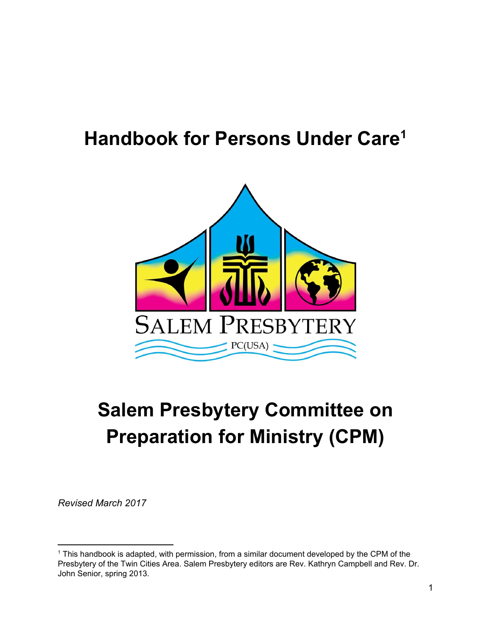# **Handbook for Persons Under Care<sup>1</sup>**



# **Salem Presbytery Committee on Preparation for Ministry (CPM)**

*Revised March 2017*

<sup>&</sup>lt;sup>1</sup> This handbook is adapted, with permission, from a similar document developed by the CPM of the Presbytery of the Twin Cities Area. Salem Presbytery editors are Rev. Kathryn Campbell and Rev. Dr. John Senior, spring 2013.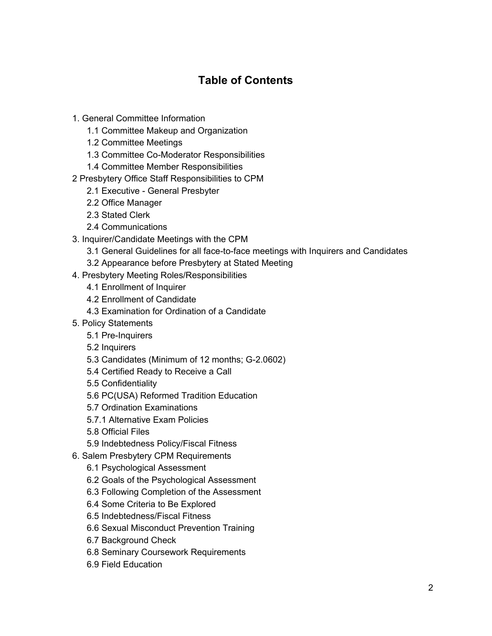## **Table of Contents**

- 1. General Committee Information
	- 1.1 Committee Makeup and Organization
	- 1.2 Committee Meetings
	- 1.3 Committee Co-Moderator Responsibilities
	- 1.4 Committee Member Responsibilities
- 2 Presbytery Office Staff Responsibilities to CPM
	- 2.1 Executive General Presbyter
	- 2.2 Office Manager
	- 2.3 Stated Clerk
	- 2.4 Communications
- 3. Inquirer/Candidate Meetings with the CPM
	- 3.1 General Guidelines for all face-to-face meetings with Inquirers and Candidates
	- 3.2 Appearance before Presbytery at Stated Meeting
- 4. Presbytery Meeting Roles/Responsibilities
	- 4.1 Enrollment of Inquirer
	- 4.2 Enrollment of Candidate
	- 4.3 Examination for Ordination of a Candidate
- 5. Policy Statements
	- 5.1 Pre-Inquirers
	- 5.2 Inquirers
	- 5.3 Candidates (Minimum of 12 months; G-2.0602)
	- 5.4 Certified Ready to Receive a Call
	- 5.5 Confidentiality
	- 5.6 PC(USA) Reformed Tradition Education
	- 5.7 Ordination Examinations
	- 5.7.1 Alternative Exam Policies
	- 5.8 Official Files
	- 5.9 Indebtedness Policy/Fiscal Fitness
- 6. Salem Presbytery CPM Requirements
	- 6.1 Psychological Assessment
	- 6.2 Goals of the Psychological Assessment
	- 6.3 Following Completion of the Assessment
	- 6.4 Some Criteria to Be Explored
	- 6.5 Indebtedness/Fiscal Fitness
	- 6.6 Sexual Misconduct Prevention Training
	- 6.7 Background Check
	- 6.8 Seminary Coursework Requirements
	- 6.9 Field Education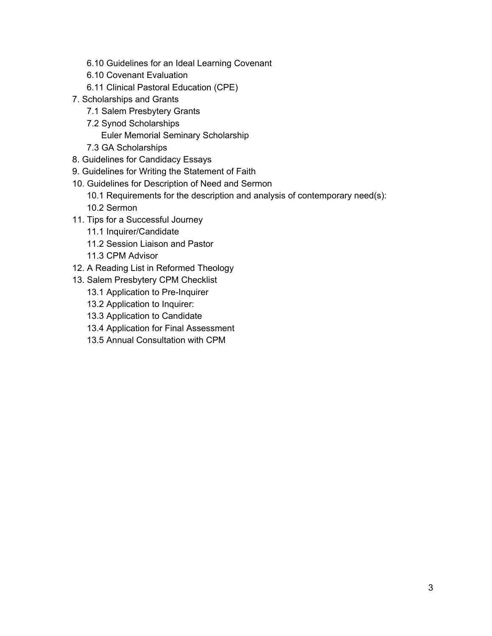- 6.10 Guidelines for an Ideal Learning Covenant
- 6.10 Covenant Evaluation
- 6.11 Clinical Pastoral Education (CPE)
- 7. Scholarships and Grants
	- 7.1 Salem Presbytery Grants
	- 7.2 Synod Scholarships
		- Euler Memorial Seminary [Scholarship](#page-17-0)
	- 7.3 GA Scholarships
- 8. Guidelines for Candidacy Essays
- 9. Guidelines for Writing the Statement of Faith
- 10. Guidelines for Description of Need and Sermon
	- 10.1 Requirements for the description and analysis of contemporary need(s):
	- 10.2 Sermon
- 11. Tips for a Successful Journey
	- 11.1 Inquirer/Candidate
	- 11.2 Session Liaison and Pastor
	- 11.3 CPM Advisor
- 12. A Reading List in Reformed Theology
- 13. Salem Presbytery CPM Checklist
	- 13.1 Application to Pre-Inquirer
	- 13.2 Application to Inquirer:
	- 13.3 Application to Candidate
	- 13.4 Application for Final Assessment
	- 13.5 Annual Consultation with CPM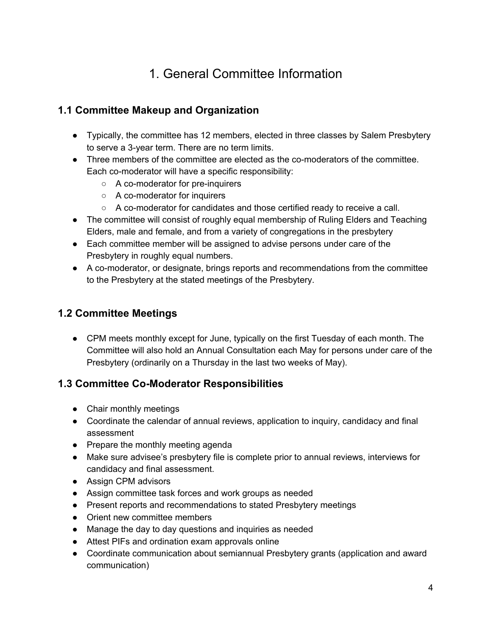# 1. General Committee Information

### **1.1 Committee Makeup and Organization**

- Typically, the committee has 12 members, elected in three classes by Salem Presbytery to serve a 3-year term. There are no term limits.
- Three members of the committee are elected as the co-moderators of the committee. Each co-moderator will have a specific responsibility:
	- A co-moderator for pre-inquirers
	- A co-moderator for inquirers
	- A co-moderator for candidates and those certified ready to receive a call.
- The committee will consist of roughly equal membership of Ruling Elders and Teaching Elders, male and female, and from a variety of congregations in the presbytery
- Each committee member will be assigned to advise persons under care of the Presbytery in roughly equal numbers.
- A co-moderator, or designate, brings reports and recommendations from the committee to the Presbytery at the stated meetings of the Presbytery.

#### **1.2 Committee Meetings**

• CPM meets monthly except for June, typically on the first Tuesday of each month. The Committee will also hold an Annual Consultation each May for persons under care of the Presbytery (ordinarily on a Thursday in the last two weeks of May).

#### **1.3 Committee Co-Moderator Responsibilities**

- Chair monthly meetings
- Coordinate the calendar of annual reviews, application to inquiry, candidacy and final assessment
- Prepare the monthly meeting agenda
- Make sure advisee's presbytery file is complete prior to annual reviews, interviews for candidacy and final assessment.
- Assign CPM advisors
- Assign committee task forces and work groups as needed
- Present reports and recommendations to stated Presbytery meetings
- Orient new committee members
- Manage the day to day questions and inquiries as needed
- Attest PIFs and ordination exam approvals online
- Coordinate communication about semiannual Presbytery grants (application and award communication)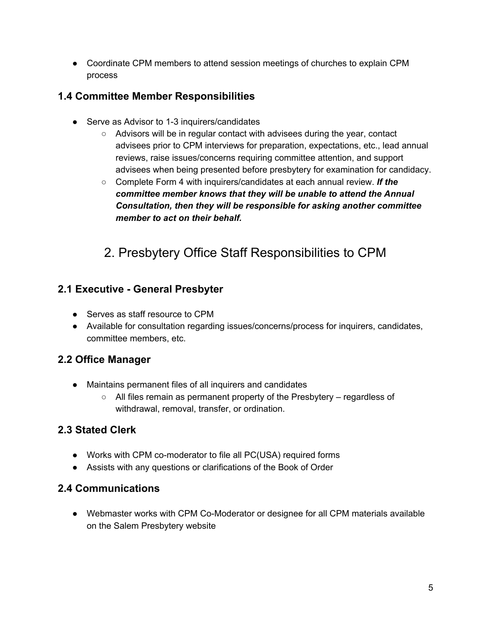● Coordinate CPM members to attend session meetings of churches to explain CPM process

### **1.4 Committee Member Responsibilities**

- Serve as Advisor to 1-3 inquirers/candidates
	- Advisors will be in regular contact with advisees during the year, contact advisees prior to CPM interviews for preparation, expectations, etc., lead annual reviews, raise issues/concerns requiring committee attention, and support advisees when being presented before presbytery for examination for candidacy.
	- Complete Form 4 with inquirers/candidates at each annual review. *If the committee member knows that they will be unable to attend the Annual Consultation, then they will be responsible for asking another committee member to act on their behalf.*

# 2. Presbytery Office Staff Responsibilities to CPM

#### **2.1 Executive - General Presbyter**

- Serves as staff resource to CPM
- Available for consultation regarding issues/concerns/process for inquirers, candidates, committee members, etc.

### **2.2 Office Manager**

- Maintains permanent files of all inquirers and candidates
	- All files remain as permanent property of the Presbytery regardless of withdrawal, removal, transfer, or ordination.

### **2.3 Stated Clerk**

- Works with CPM co-moderator to file all PC(USA) required forms
- Assists with any questions or clarifications of the Book of Order

#### **2.4 Communications**

● Webmaster works with CPM Co-Moderator or designee for all CPM materials available on the Salem Presbytery website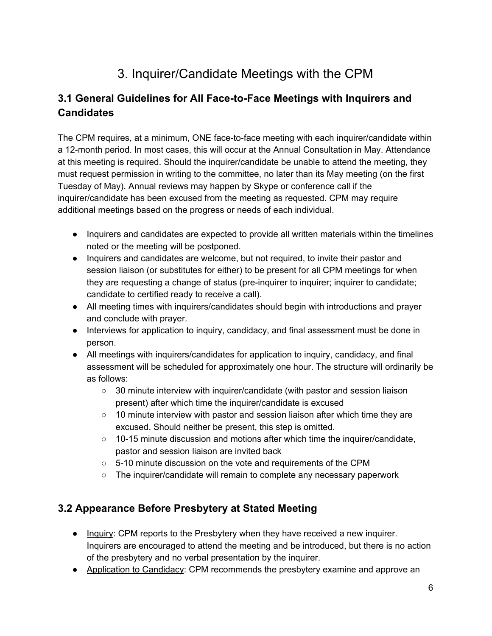# 3. Inquirer/Candidate Meetings with the CPM

### **3.1 General Guidelines for All Face-to-Face Meetings with Inquirers and Candidates**

The CPM requires, at a minimum, ONE face-to-face meeting with each inquirer/candidate within a 12-month period. In most cases, this will occur at the Annual Consultation in May. Attendance at this meeting is required. Should the inquirer/candidate be unable to attend the meeting, they must request permission in writing to the committee, no later than its May meeting (on the first Tuesday of May). Annual reviews may happen by Skype or conference call if the inquirer/candidate has been excused from the meeting as requested. CPM may require additional meetings based on the progress or needs of each individual.

- Inquirers and candidates are expected to provide all written materials within the timelines noted or the meeting will be postponed.
- Inquirers and candidates are welcome, but not required, to invite their pastor and session liaison (or substitutes for either) to be present for all CPM meetings for when they are requesting a change of status (pre-inquirer to inquirer; inquirer to candidate; candidate to certified ready to receive a call).
- All meeting times with inquirers/candidates should begin with introductions and prayer and conclude with prayer.
- Interviews for application to inquiry, candidacy, and final assessment must be done in person.
- All meetings with inquirers/candidates for application to inquiry, candidacy, and final assessment will be scheduled for approximately one hour. The structure will ordinarily be as follows:
	- 30 minute interview with inquirer/candidate (with pastor and session liaison present) after which time the inquirer/candidate is excused
	- $\circ$  10 minute interview with pastor and session liaison after which time they are excused. Should neither be present, this step is omitted.
	- $\circ$  10-15 minute discussion and motions after which time the inquirer/candidate, pastor and session liaison are invited back
	- 5-10 minute discussion on the vote and requirements of the CPM
	- The inquirer/candidate will remain to complete any necessary paperwork

#### **3.2 Appearance Before Presbytery at Stated Meeting**

- Inquiry: CPM reports to the Presbytery when they have received a new inquirer. Inquirers are encouraged to attend the meeting and be introduced, but there is no action of the presbytery and no verbal presentation by the inquirer.
- Application to Candidacy: CPM recommends the presbytery examine and approve an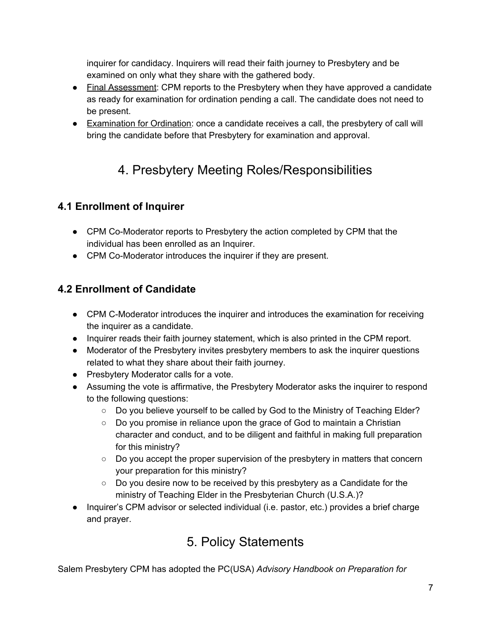inquirer for candidacy. Inquirers will read their faith journey to Presbytery and be examined on only what they share with the gathered body.

- Final Assessment: CPM reports to the Presbytery when they have approved a candidate as ready for examination for ordination pending a call. The candidate does not need to be present.
- Examination for Ordination: once a candidate receives a call, the presbytery of call will bring the candidate before that Presbytery for examination and approval.

# 4. Presbytery Meeting Roles/Responsibilities

### **4.1 Enrollment of Inquirer**

- CPM Co-Moderator reports to Presbytery the action completed by CPM that the individual has been enrolled as an Inquirer.
- CPM Co-Moderator introduces the inquirer if they are present.

#### **4.2 Enrollment of Candidate**

- CPM C-Moderator introduces the inquirer and introduces the examination for receiving the inquirer as a candidate.
- Inquirer reads their faith journey statement, which is also printed in the CPM report.
- Moderator of the Presbytery invites presbytery members to ask the inquirer questions related to what they share about their faith journey.
- Presbytery Moderator calls for a vote.
- Assuming the vote is affirmative, the Presbytery Moderator asks the inquirer to respond to the following questions:
	- Do you believe yourself to be called by God to the Ministry of Teaching Elder?
	- Do you promise in reliance upon the grace of God to maintain a Christian character and conduct, and to be diligent and faithful in making full preparation for this ministry?
	- Do you accept the proper supervision of the presbytery in matters that concern your preparation for this ministry?
	- $\circ$  Do you desire now to be received by this presbytery as a Candidate for the ministry of Teaching Elder in the Presbyterian Church (U.S.A.)?
- Inquirer's CPM advisor or selected individual (i.e. pastor, etc.) provides a brief charge and prayer.

# 5. Policy Statements

Salem Presbytery CPM has adopted the PC(USA) *Advisory Handbook on Preparation for*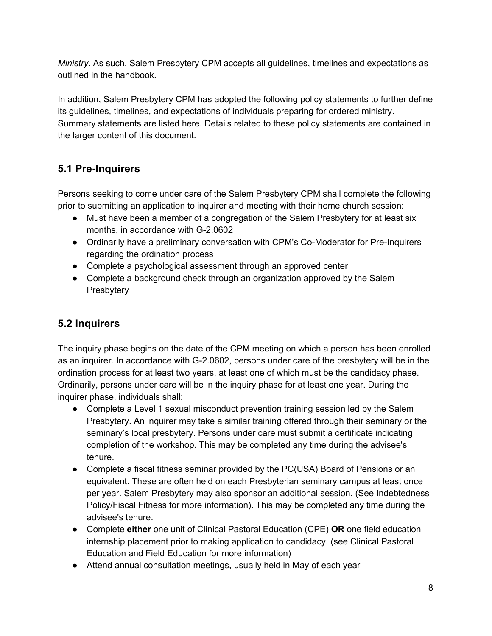*Ministry*. As such, Salem Presbytery CPM accepts all guidelines, timelines and expectations as outlined in the handbook.

In addition, Salem Presbytery CPM has adopted the following policy statements to further define its guidelines, timelines, and expectations of individuals preparing for ordered ministry. Summary statements are listed here. Details related to these policy statements are contained in the larger content of this document.

### **5.1 Pre-Inquirers**

Persons seeking to come under care of the Salem Presbytery CPM shall complete the following prior to submitting an application to inquirer and meeting with their home church session:

- Must have been a member of a congregation of the Salem Presbytery for at least six months, in accordance with G-2.0602
- Ordinarily have a preliminary conversation with CPM's Co-Moderator for Pre-Inquirers regarding the ordination process
- Complete a psychological assessment through an approved center
- Complete a background check through an organization approved by the Salem **Presbytery**

#### **5.2 Inquirers**

The inquiry phase begins on the date of the CPM meeting on which a person has been enrolled as an inquirer. In accordance with G-2.0602, persons under care of the presbytery will be in the ordination process for at least two years, at least one of which must be the candidacy phase. Ordinarily, persons under care will be in the inquiry phase for at least one year. During the inquirer phase, individuals shall:

- Complete a Level 1 sexual misconduct prevention training session led by the Salem Presbytery. An inquirer may take a similar training offered through their seminary or the seminary's local presbytery. Persons under care must submit a certificate indicating completion of the workshop. This may be completed any time during the advisee's tenure.
- Complete a fiscal fitness seminar provided by the PC(USA) Board of Pensions or an equivalent. These are often held on each Presbyterian seminary campus at least once per year. Salem Presbytery may also sponsor an additional session. (See Indebtedness Policy/Fiscal Fitness for more information). This may be completed any time during the advisee's tenure.
- Complete **either** one unit of Clinical Pastoral Education (CPE) **OR** one field education internship placement prior to making application to candidacy. (see Clinical Pastoral Education and Field Education for more information)
- Attend annual consultation meetings, usually held in May of each year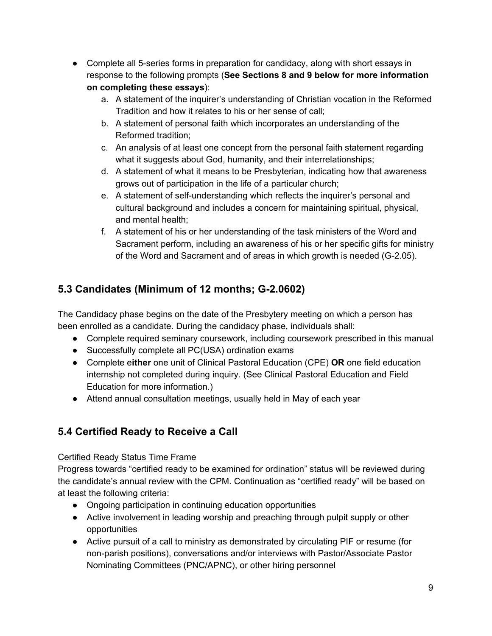- Complete all 5-series forms in preparation for candidacy, along with short essays in response to the following prompts (**See Sections 8 and 9 below for more information on completing these essays**):
	- a. A statement of the inquirer's understanding of Christian vocation in the Reformed Tradition and how it relates to his or her sense of call;
	- b. A statement of personal faith which incorporates an understanding of the Reformed tradition;
	- c. An analysis of at least one concept from the personal faith statement regarding what it suggests about God, humanity, and their interrelationships;
	- d. A statement of what it means to be Presbyterian, indicating how that awareness grows out of participation in the life of a particular church;
	- e. A statement of self-understanding which reflects the inquirer's personal and cultural background and includes a concern for maintaining spiritual, physical, and mental health;
	- f. A statement of his or her understanding of the task ministers of the Word and Sacrament perform, including an awareness of his or her specific gifts for ministry of the Word and Sacrament and of areas in which growth is needed (G-2.05).

### **5.3 Candidates (Minimum of 12 months; G-2.0602)**

The Candidacy phase begins on the date of the Presbytery meeting on which a person has been enrolled as a candidate. During the candidacy phase, individuals shall:

- Complete required seminary coursework, including coursework prescribed in this manual
- Successfully complete all PC(USA) ordination exams
- Complete e**ither** one unit of Clinical Pastoral Education (CPE) **OR** one field education internship not completed during inquiry. (See Clinical Pastoral Education and Field Education for more information.)
- Attend annual consultation meetings, usually held in May of each year

### **5.4 Certified Ready to Receive a Call**

#### Certified Ready Status Time Frame

Progress towards "certified ready to be examined for ordination" status will be reviewed during the candidate's annual review with the CPM. Continuation as "certified ready" will be based on at least the following criteria:

- Ongoing participation in continuing education opportunities
- Active involvement in leading worship and preaching through pulpit supply or other opportunities
- Active pursuit of a call to ministry as demonstrated by circulating PIF or resume (for non-parish positions), conversations and/or interviews with Pastor/Associate Pastor Nominating Committees (PNC/APNC), or other hiring personnel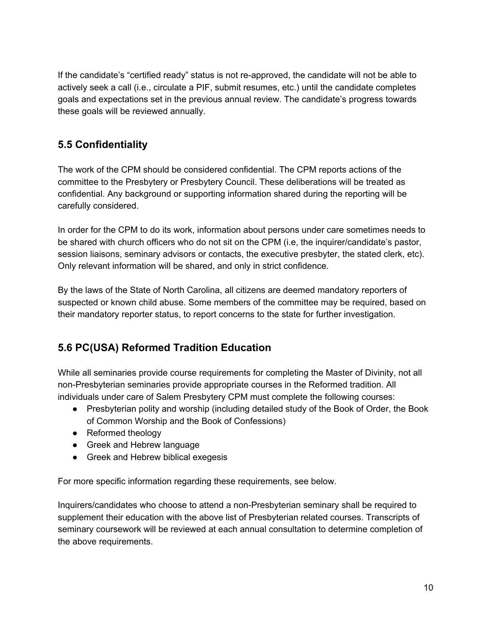If the candidate's "certified ready" status is not re-approved, the candidate will not be able to actively seek a call (i.e., circulate a PIF, submit resumes, etc.) until the candidate completes goals and expectations set in the previous annual review. The candidate's progress towards these goals will be reviewed annually.

### **5.5 Confidentiality**

The work of the CPM should be considered confidential. The CPM reports actions of the committee to the Presbytery or Presbytery Council. These deliberations will be treated as confidential. Any background or supporting information shared during the reporting will be carefully considered.

In order for the CPM to do its work, information about persons under care sometimes needs to be shared with church officers who do not sit on the CPM (i.e, the inquirer/candidate's pastor, session liaisons, seminary advisors or contacts, the executive presbyter, the stated clerk, etc). Only relevant information will be shared, and only in strict confidence.

By the laws of the State of North Carolina, all citizens are deemed mandatory reporters of suspected or known child abuse. Some members of the committee may be required, based on their mandatory reporter status, to report concerns to the state for further investigation.

### **5.6 PC(USA) Reformed Tradition Education**

While all seminaries provide course requirements for completing the Master of Divinity, not all non-Presbyterian seminaries provide appropriate courses in the Reformed tradition. All individuals under care of Salem Presbytery CPM must complete the following courses:

- Presbyterian polity and worship (including detailed study of the Book of Order, the Book of Common Worship and the Book of Confessions)
- Reformed theology
- Greek and Hebrew language
- Greek and Hebrew biblical exegesis

For more specific information regarding these requirements, see below.

Inquirers/candidates who choose to attend a non-Presbyterian seminary shall be required to supplement their education with the above list of Presbyterian related courses. Transcripts of seminary coursework will be reviewed at each annual consultation to determine completion of the above requirements.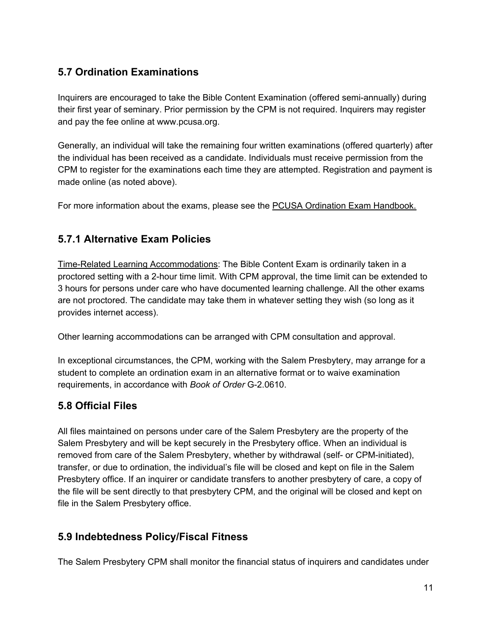### **5.7 Ordination Examinations**

Inquirers are encouraged to take the Bible Content Examination (offered semi-annually) during their first year of seminary. Prior permission by the CPM is not required. Inquirers may register and pay the fee online at www.pcusa.org.

Generally, an individual will take the remaining four written examinations (offered quarterly) after the individual has been received as a candidate. Individuals must receive permission from the CPM to register for the examinations each time they are attempted. Registration and payment is made online (as noted above).

For more information about the exams, please see the PCUSA Ordination Exam [Handbook.](https://www.pcusa.org/resource/handbook-ordination-examinations/)

#### **5.7.1 Alternative Exam Policies**

Time-Related Learning Accommodations: The Bible Content Exam is ordinarily taken in a proctored setting with a 2-hour time limit. With CPM approval, the time limit can be extended to 3 hours for persons under care who have documented learning challenge. All the other exams are not proctored. The candidate may take them in whatever setting they wish (so long as it provides internet access).

Other learning accommodations can be arranged with CPM consultation and approval.

In exceptional circumstances, the CPM, working with the Salem Presbytery, may arrange for a student to complete an ordination exam in an alternative format or to waive examination requirements, in accordance with *Book of Order* G-2.0610.

#### **5.8 Official Files**

All files maintained on persons under care of the Salem Presbytery are the property of the Salem Presbytery and will be kept securely in the Presbytery office. When an individual is removed from care of the Salem Presbytery, whether by withdrawal (self- or CPM-initiated), transfer, or due to ordination, the individual's file will be closed and kept on file in the Salem Presbytery office. If an inquirer or candidate transfers to another presbytery of care, a copy of the file will be sent directly to that presbytery CPM, and the original will be closed and kept on file in the Salem Presbytery office.

#### **5.9 Indebtedness Policy/Fiscal Fitness**

The Salem Presbytery CPM shall monitor the financial status of inquirers and candidates under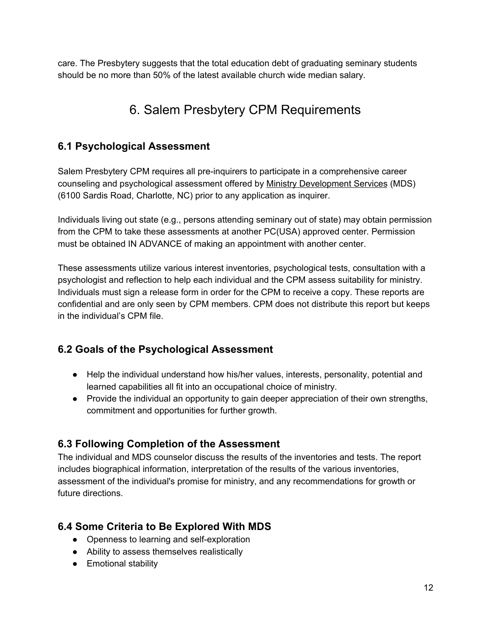care. The Presbytery suggests that the total education debt of graduating seminary students should be no more than 50% of the latest available church wide median salary.

# 6. Salem Presbytery CPM Requirements

#### **6.1 Psychological Assessment**

Salem Presbytery CPM requires all pre-inquirers to participate in a comprehensive career counseling and psychological assessment offered by Ministry [Development](http://www.ministryds.org/) Services (MDS) (6100 Sardis Road, Charlotte, NC) prior to any application as inquirer.

Individuals living out state (e.g., persons attending seminary out of state) may obtain permission from the CPM to take these assessments at another PC(USA) approved center. Permission must be obtained IN ADVANCE of making an appointment with another center.

These assessments utilize various interest inventories, psychological tests, consultation with a psychologist and reflection to help each individual and the CPM assess suitability for ministry. Individuals must sign a release form in order for the CPM to receive a copy. These reports are confidential and are only seen by CPM members. CPM does not distribute this report but keeps in the individual's CPM file.

#### **6.2 Goals of the Psychological Assessment**

- Help the individual understand how his/her values, interests, personality, potential and learned capabilities all fit into an occupational choice of ministry.
- Provide the individual an opportunity to gain deeper appreciation of their own strengths, commitment and opportunities for further growth.

#### **6.3 Following Completion of the Assessment**

The individual and MDS counselor discuss the results of the inventories and tests. The report includes biographical information, interpretation of the results of the various inventories, assessment of the individual's promise for ministry, and any recommendations for growth or future directions.

#### **6.4 Some Criteria to Be Explored With MDS**

- Openness to learning and self-exploration
- Ability to assess themselves realistically
- Emotional stability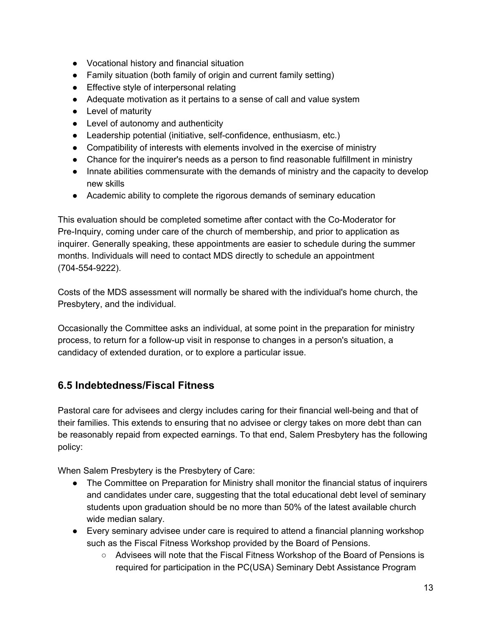- Vocational history and financial situation
- Family situation (both family of origin and current family setting)
- Effective style of interpersonal relating
- Adequate motivation as it pertains to a sense of call and value system
- Level of maturity
- Level of autonomy and authenticity
- Leadership potential (initiative, self-confidence, enthusiasm, etc.)
- Compatibility of interests with elements involved in the exercise of ministry
- Chance for the inquirer's needs as a person to find reasonable fulfillment in ministry
- Innate abilities commensurate with the demands of ministry and the capacity to develop new skills
- Academic ability to complete the rigorous demands of seminary education

This evaluation should be completed sometime after contact with the Co-Moderator for Pre-Inquiry, coming under care of the church of membership, and prior to application as inquirer. Generally speaking, these appointments are easier to schedule during the summer months. Individuals will need to contact MDS directly to schedule an appointment (704-554-9222).

Costs of the MDS assessment will normally be shared with the individual's home church, the Presbytery, and the individual.

Occasionally the Committee asks an individual, at some point in the preparation for ministry process, to return for a follow-up visit in response to changes in a person's situation, a candidacy of extended duration, or to explore a particular issue.

#### **6.5 Indebtedness/Fiscal Fitness**

Pastoral care for advisees and clergy includes caring for their financial well-being and that of their families. This extends to ensuring that no advisee or clergy takes on more debt than can be reasonably repaid from expected earnings. To that end, Salem Presbytery has the following policy:

When Salem Presbytery is the Presbytery of Care:

- The Committee on Preparation for Ministry shall monitor the financial status of inquirers and candidates under care, suggesting that the total educational debt level of seminary students upon graduation should be no more than 50% of the latest available church wide median salary.
- Every seminary advisee under care is required to attend a financial planning workshop such as the Fiscal Fitness Workshop provided by the Board of Pensions.
	- Advisees will note that the Fiscal Fitness Workshop of the Board of Pensions is required for participation in the PC(USA) Seminary Debt Assistance Program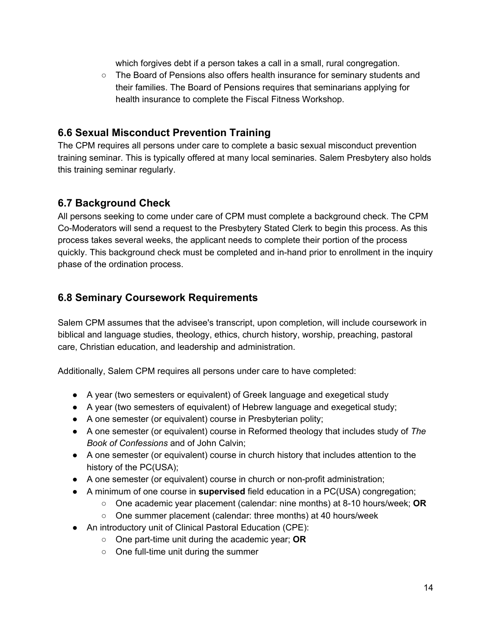which forgives debt if a person takes a call in a small, rural congregation.

○ The Board of Pensions also offers health insurance for seminary students and their families. The Board of Pensions requires that seminarians applying for health insurance to complete the Fiscal Fitness Workshop.

#### **6.6 Sexual Misconduct Prevention Training**

The CPM requires all persons under care to complete a basic sexual misconduct prevention training seminar. This is typically offered at many local seminaries. Salem Presbytery also holds this training seminar regularly.

#### **6.7 Background Check**

All persons seeking to come under care of CPM must complete a background check. The CPM Co-Moderators will send a request to the Presbytery Stated Clerk to begin this process. As this process takes several weeks, the applicant needs to complete their portion of the process quickly. This background check must be completed and in-hand prior to enrollment in the inquiry phase of the ordination process.

#### **6.8 Seminary Coursework Requirements**

Salem CPM assumes that the advisee's transcript, upon completion, will include coursework in biblical and language studies, theology, ethics, church history, worship, preaching, pastoral care, Christian education, and leadership and administration.

Additionally, Salem CPM requires all persons under care to have completed:

- A year (two semesters or equivalent) of Greek language and exegetical study
- A year (two semesters of equivalent) of Hebrew language and exegetical study;
- A one semester (or equivalent) course in Presbyterian polity;
- A one semester (or equivalent) course in Reformed theology that includes study of *The Book of Confessions* and of John Calvin;
- A one semester (or equivalent) course in church history that includes attention to the history of the PC(USA);
- A one semester (or equivalent) course in church or non-profit administration;
- A minimum of one course in **supervised** field education in a PC(USA) congregation;
	- One academic year placement (calendar: nine months) at 8-10 hours/week; **OR**
	- One summer placement (calendar: three months) at 40 hours/week
- An introductory unit of Clinical Pastoral Education (CPE):
	- One part-time unit during the academic year; **OR**
	- One full-time unit during the summer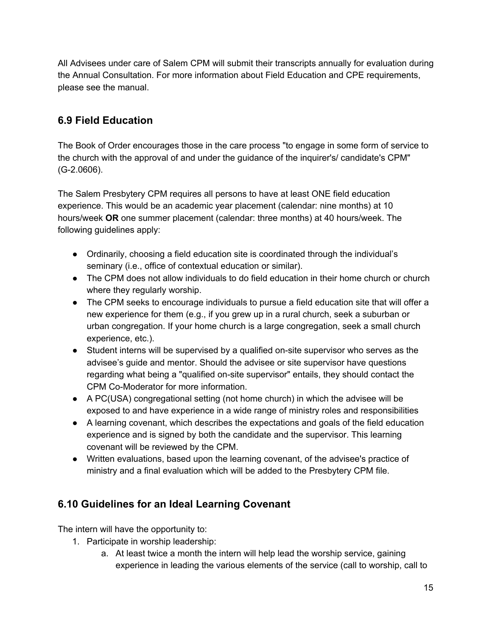All Advisees under care of Salem CPM will submit their transcripts annually for evaluation during the Annual Consultation. For more information about Field Education and CPE requirements, please see the manual.

### **6.9 Field Education**

The Book of Order encourages those in the care process "to engage in some form of service to the church with the approval of and under the guidance of the inquirer's/ candidate's CPM" (G-2.0606).

The Salem Presbytery CPM requires all persons to have at least ONE field education experience. This would be an academic year placement (calendar: nine months) at 10 hours/week **OR** one summer placement (calendar: three months) at 40 hours/week. The following guidelines apply:

- Ordinarily, choosing a field education site is coordinated through the individual's seminary (i.e., office of contextual education or similar).
- The CPM does not allow individuals to do field education in their home church or church where they regularly worship.
- The CPM seeks to encourage individuals to pursue a field education site that will offer a new experience for them (e.g., if you grew up in a rural church, seek a suburban or urban congregation. If your home church is a large congregation, seek a small church experience, etc.).
- Student interns will be supervised by a qualified on-site supervisor who serves as the advisee's guide and mentor. Should the advisee or site supervisor have questions regarding what being a "qualified on-site supervisor" entails, they should contact the CPM Co-Moderator for more information.
- A PC(USA) congregational setting (not home church) in which the advisee will be exposed to and have experience in a wide range of ministry roles and responsibilities
- A learning covenant, which describes the expectations and goals of the field education experience and is signed by both the candidate and the supervisor. This learning covenant will be reviewed by the CPM.
- Written evaluations, based upon the learning covenant, of the advisee's practice of ministry and a final evaluation which will be added to the Presbytery CPM file.

#### **6.10 Guidelines for an Ideal Learning Covenant**

The intern will have the opportunity to:

- 1. Participate in worship leadership:
	- a. At least twice a month the intern will help lead the worship service, gaining experience in leading the various elements of the service (call to worship, call to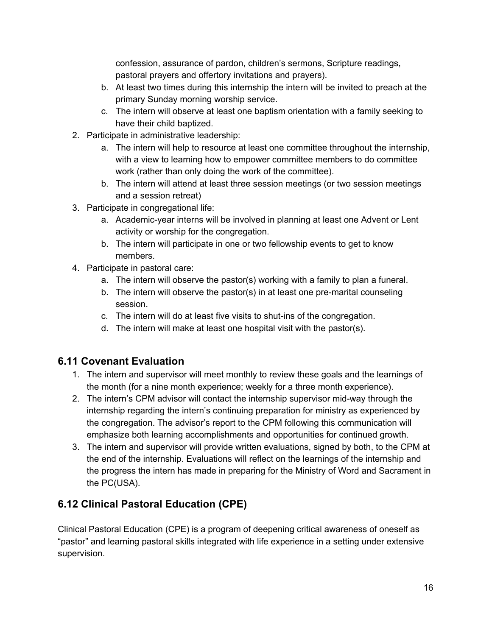confession, assurance of pardon, children's sermons, Scripture readings, pastoral prayers and offertory invitations and prayers).

- b. At least two times during this internship the intern will be invited to preach at the primary Sunday morning worship service.
- c. The intern will observe at least one baptism orientation with a family seeking to have their child baptized.
- 2. Participate in administrative leadership:
	- a. The intern will help to resource at least one committee throughout the internship, with a view to learning how to empower committee members to do committee work (rather than only doing the work of the committee).
	- b. The intern will attend at least three session meetings (or two session meetings and a session retreat)
- 3. Participate in congregational life:
	- a. Academic-year interns will be involved in planning at least one Advent or Lent activity or worship for the congregation.
	- b. The intern will participate in one or two fellowship events to get to know members.
- 4. Participate in pastoral care:
	- a. The intern will observe the pastor(s) working with a family to plan a funeral.
	- b. The intern will observe the pastor(s) in at least one pre-marital counseling session.
	- c. The intern will do at least five visits to shut-ins of the congregation.
	- d. The intern will make at least one hospital visit with the pastor(s).

### **6.11 Covenant Evaluation**

- 1. The intern and supervisor will meet monthly to review these goals and the learnings of the month (for a nine month experience; weekly for a three month experience).
- 2. The intern's CPM advisor will contact the internship supervisor mid-way through the internship regarding the intern's continuing preparation for ministry as experienced by the congregation. The advisor's report to the CPM following this communication will emphasize both learning accomplishments and opportunities for continued growth.
- 3. The intern and supervisor will provide written evaluations, signed by both, to the CPM at the end of the internship. Evaluations will reflect on the learnings of the internship and the progress the intern has made in preparing for the Ministry of Word and Sacrament in the PC(USA).

### **6.12 Clinical Pastoral Education (CPE)**

Clinical Pastoral Education (CPE) is a program of deepening critical awareness of oneself as "pastor" and learning pastoral skills integrated with life experience in a setting under extensive supervision.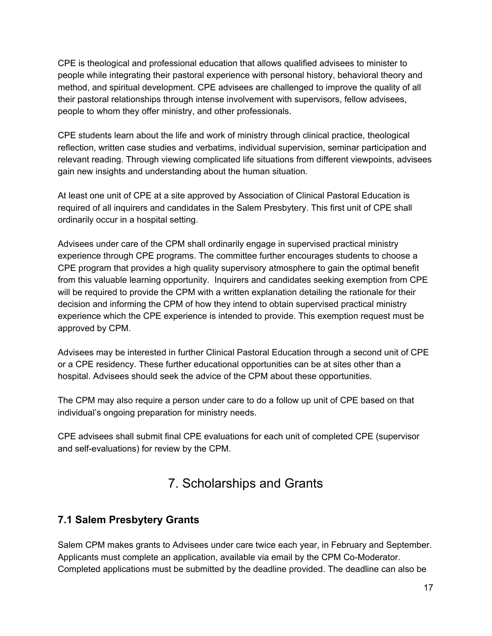CPE is theological and professional education that allows qualified advisees to minister to people while integrating their pastoral experience with personal history, behavioral theory and method, and spiritual development. CPE advisees are challenged to improve the quality of all their pastoral relationships through intense involvement with supervisors, fellow advisees, people to whom they offer ministry, and other professionals.

CPE students learn about the life and work of ministry through clinical practice, theological reflection, written case studies and verbatims, individual supervision, seminar participation and relevant reading. Through viewing complicated life situations from different viewpoints, advisees gain new insights and understanding about the human situation.

At least one unit of CPE at a site approved by Association of Clinical Pastoral Education is required of all inquirers and candidates in the Salem Presbytery. This first unit of CPE shall ordinarily occur in a hospital setting.

Advisees under care of the CPM shall ordinarily engage in supervised practical ministry experience through CPE programs. The committee further encourages students to choose a CPE program that provides a high quality supervisory atmosphere to gain the optimal benefit from this valuable learning opportunity. Inquirers and candidates seeking exemption from CPE will be required to provide the CPM with a written explanation detailing the rationale for their decision and informing the CPM of how they intend to obtain supervised practical ministry experience which the CPE experience is intended to provide. This exemption request must be approved by CPM.

Advisees may be interested in further Clinical Pastoral Education through a second unit of CPE or a CPE residency. These further educational opportunities can be at sites other than a hospital. Advisees should seek the advice of the CPM about these opportunities.

The CPM may also require a person under care to do a follow up unit of CPE based on that individual's ongoing preparation for ministry needs.

CPE advisees shall submit final CPE evaluations for each unit of completed CPE (supervisor and self-evaluations) for review by the CPM.

# 7. Scholarships and Grants

#### **7.1 Salem Presbytery Grants**

Salem CPM makes grants to Advisees under care twice each year, in February and September. Applicants must complete an application, available via email by the CPM Co-Moderator. Completed applications must be submitted by the deadline provided. The deadline can also be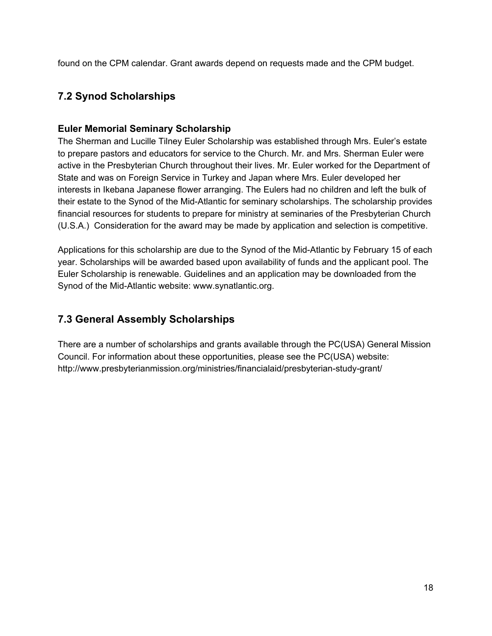found on the CPM calendar. Grant awards depend on requests made and the CPM budget.

#### **7.2 Synod Scholarships**

#### <span id="page-17-0"></span>**Euler Memorial Seminary Scholarship**

The Sherman and Lucille Tilney Euler Scholarship was established through Mrs. Euler's estate to prepare pastors and educators for service to the Church. Mr. and Mrs. Sherman Euler were active in the Presbyterian Church throughout their lives. Mr. Euler worked for the Department of State and was on Foreign Service in Turkey and Japan where Mrs. Euler developed her interests in Ikebana Japanese flower arranging. The Eulers had no children and left the bulk of their estate to the Synod of the Mid-Atlantic for seminary scholarships. The scholarship provides financial resources for students to prepare for ministry at seminaries of the Presbyterian Church (U.S.A.) Consideration for the award may be made by application and selection is competitive.

Applications for this scholarship are due to the Synod of the Mid-Atlantic by February 15 of each year. Scholarships will be awarded based upon availability of funds and the applicant pool. The Euler Scholarship is renewable. Guidelines and an application may be downloaded from the Synod of the Mid-Atlantic website: www.synatlantic.org.

#### **7.3 General Assembly Scholarships**

There are a number of scholarships and grants available through the PC(USA) General Mission Council. For information about these opportunities, please see the PC(USA) website: http://www.presbyterianmission.org/ministries/financialaid/presbyterian-study-grant/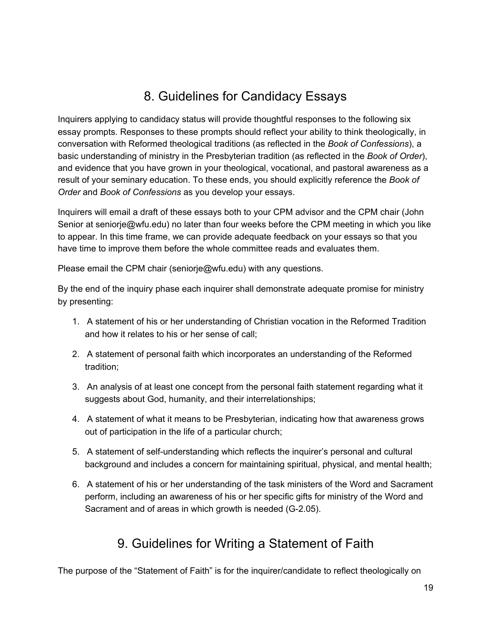# 8. Guidelines for Candidacy Essays

Inquirers applying to candidacy status will provide thoughtful responses to the following six essay prompts. Responses to these prompts should reflect your ability to think theologically, in conversation with Reformed theological traditions (as reflected in the *Book of Confessions*), a basic understanding of ministry in the Presbyterian tradition (as reflected in the *Book of Order*), and evidence that you have grown in your theological, vocational, and pastoral awareness as a result of your seminary education. To these ends, you should explicitly reference the *Book of Order* and *Book of Confessions* as you develop your essays.

Inquirers will email a draft of these essays both to your CPM advisor and the CPM chair (John Senior at seniorje@wfu.edu) no later than four weeks before the CPM meeting in which you like to appear. In this time frame, we can provide adequate feedback on your essays so that you have time to improve them before the whole committee reads and evaluates them.

Please email the CPM chair (seniorje@wfu.edu) with any questions.

By the end of the inquiry phase each inquirer shall demonstrate adequate promise for ministry by presenting:

- 1. A statement of his or her understanding of Christian vocation in the Reformed Tradition and how it relates to his or her sense of call;
- 2. A statement of personal faith which incorporates an understanding of the Reformed tradition;
- 3. An analysis of at least one concept from the personal faith statement regarding what it suggests about God, humanity, and their interrelationships;
- 4. A statement of what it means to be Presbyterian, indicating how that awareness grows out of participation in the life of a particular church;
- 5. A statement of self-understanding which reflects the inquirer's personal and cultural background and includes a concern for maintaining spiritual, physical, and mental health;
- 6. A statement of his or her understanding of the task ministers of the Word and Sacrament perform, including an awareness of his or her specific gifts for ministry of the Word and Sacrament and of areas in which growth is needed (G-2.05).

# 9. Guidelines for Writing a Statement of Faith

The purpose of the "Statement of Faith" is for the inquirer/candidate to reflect theologically on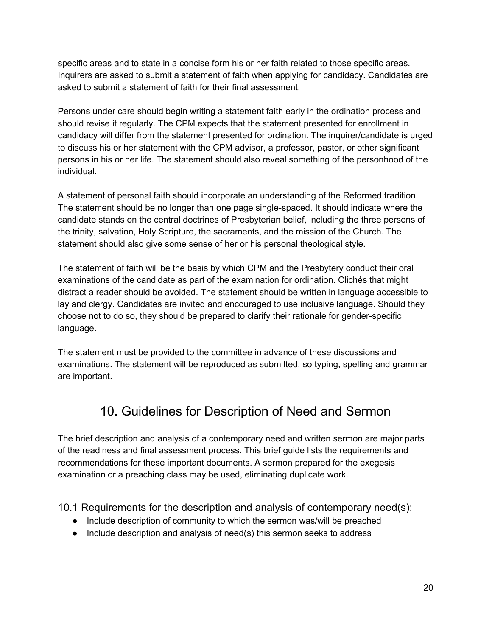specific areas and to state in a concise form his or her faith related to those specific areas. Inquirers are asked to submit a statement of faith when applying for candidacy. Candidates are asked to submit a statement of faith for their final assessment.

Persons under care should begin writing a statement faith early in the ordination process and should revise it regularly. The CPM expects that the statement presented for enrollment in candidacy will differ from the statement presented for ordination. The inquirer/candidate is urged to discuss his or her statement with the CPM advisor, a professor, pastor, or other significant persons in his or her life. The statement should also reveal something of the personhood of the individual.

A statement of personal faith should incorporate an understanding of the Reformed tradition. The statement should be no longer than one page single-spaced. It should indicate where the candidate stands on the central doctrines of Presbyterian belief, including the three persons of the trinity, salvation, Holy Scripture, the sacraments, and the mission of the Church. The statement should also give some sense of her or his personal theological style.

The statement of faith will be the basis by which CPM and the Presbytery conduct their oral examinations of the candidate as part of the examination for ordination. Clichés that might distract a reader should be avoided. The statement should be written in language accessible to lay and clergy. Candidates are invited and encouraged to use inclusive language. Should they choose not to do so, they should be prepared to clarify their rationale for gender-specific language.

The statement must be provided to the committee in advance of these discussions and examinations. The statement will be reproduced as submitted, so typing, spelling and grammar are important.

# 10. Guidelines for Description of Need and Sermon

The brief description and analysis of a contemporary need and written sermon are major parts of the readiness and final assessment process. This brief guide lists the requirements and recommendations for these important documents. A sermon prepared for the exegesis examination or a preaching class may be used, eliminating duplicate work.

10.1 Requirements for the description and analysis of contemporary need(s):

- Include description of community to which the sermon was/will be preached
- Include description and analysis of need(s) this sermon seeks to address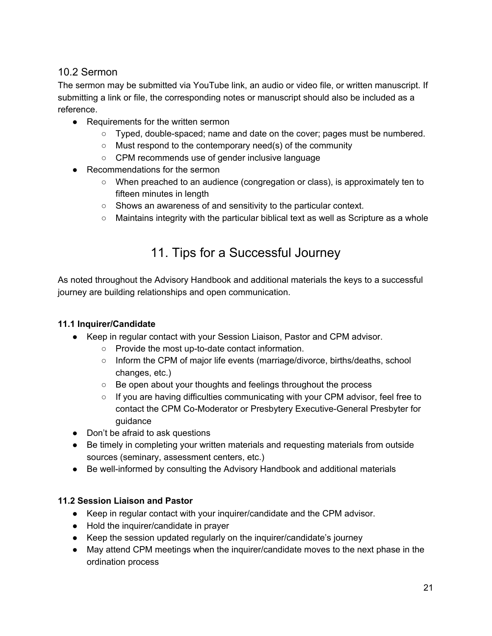#### 10.2 Sermon

The sermon may be submitted via YouTube link, an audio or video file, or written manuscript. If submitting a link or file, the corresponding notes or manuscript should also be included as a reference.

- Requirements for the written sermon
	- Typed, double-spaced; name and date on the cover; pages must be numbered.
	- Must respond to the contemporary need(s) of the community
	- CPM recommends use of gender inclusive language
- Recommendations for the sermon
	- When preached to an audience (congregation or class), is approximately ten to fifteen minutes in length
	- Shows an awareness of and sensitivity to the particular context.
	- $\circ$  Maintains integrity with the particular biblical text as well as Scripture as a whole

# 11. Tips for a Successful Journey

As noted throughout the Advisory Handbook and additional materials the keys to a successful journey are building relationships and open communication.

#### **11.1 Inquirer/Candidate**

- Keep in regular contact with your Session Liaison, Pastor and CPM advisor.
	- Provide the most up-to-date contact information.
	- Inform the CPM of major life events (marriage/divorce, births/deaths, school changes, etc.)
	- Be open about your thoughts and feelings throughout the process
	- If you are having difficulties communicating with your CPM advisor, feel free to contact the CPM Co-Moderator or Presbytery Executive-General Presbyter for guidance
- Don't be afraid to ask questions
- Be timely in completing your written materials and requesting materials from outside sources (seminary, assessment centers, etc.)
- Be well-informed by consulting the Advisory Handbook and additional materials

#### **11.2 Session Liaison and Pastor**

- Keep in regular contact with your inquirer/candidate and the CPM advisor.
- Hold the inquirer/candidate in prayer
- Keep the session updated regularly on the inquirer/candidate's journey
- May attend CPM meetings when the inquirer/candidate moves to the next phase in the ordination process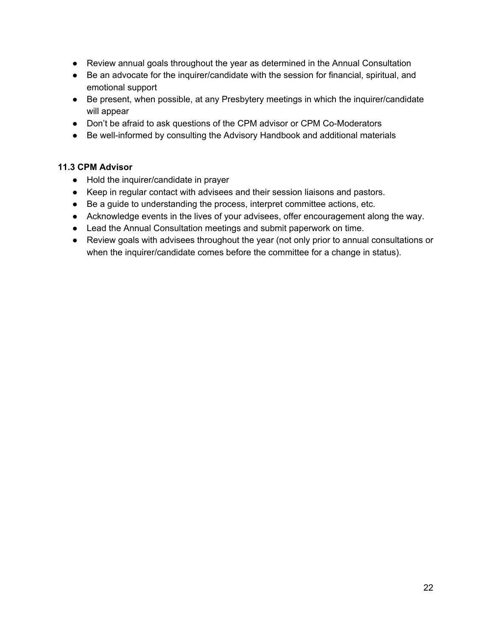- Review annual goals throughout the year as determined in the Annual Consultation
- Be an advocate for the inquirer/candidate with the session for financial, spiritual, and emotional support
- Be present, when possible, at any Presbytery meetings in which the inquirer/candidate will appear
- Don't be afraid to ask questions of the CPM advisor or CPM Co-Moderators
- Be well-informed by consulting the Advisory Handbook and additional materials

#### **11.3 CPM Advisor**

- Hold the inquirer/candidate in prayer
- Keep in regular contact with advisees and their session liaisons and pastors.
- Be a guide to understanding the process, interpret committee actions, etc.
- Acknowledge events in the lives of your advisees, offer encouragement along the way.
- Lead the Annual Consultation meetings and submit paperwork on time.
- Review goals with advisees throughout the year (not only prior to annual consultations or when the inquirer/candidate comes before the committee for a change in status).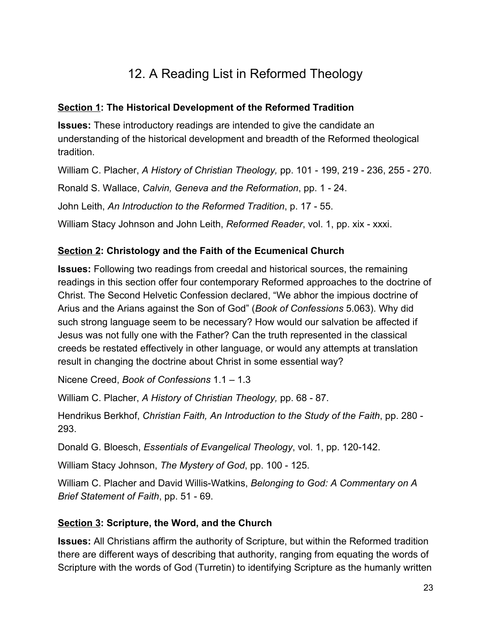# 12. A Reading List in Reformed Theology

#### **Section 1: The Historical Development of the Reformed Tradition**

**Issues:** These introductory readings are intended to give the candidate an understanding of the historical development and breadth of the Reformed theological tradition.

William C. Placher, *A History of Christian Theology,* pp. 101 - 199, 219 - 236, 255 - 270.

Ronald S. Wallace, *Calvin, Geneva and the Reformation*, pp. 1 - 24.

John Leith, *An Introduction to the Reformed Tradition*, p. 17 - 55.

William Stacy Johnson and John Leith, *Reformed Reader*, vol. 1, pp. xix - xxxi.

#### **Section 2: Christology and the Faith of the Ecumenical Church**

**Issues:** Following two readings from creedal and historical sources, the remaining readings in this section offer four contemporary Reformed approaches to the doctrine of Christ. The Second Helvetic Confession declared, "We abhor the impious doctrine of Arius and the Arians against the Son of God" (*Book of Confessions* 5.063). Why did such strong language seem to be necessary? How would our salvation be affected if Jesus was not fully one with the Father? Can the truth represented in the classical creeds be restated effectively in other language, or would any attempts at translation result in changing the doctrine about Christ in some essential way?

Nicene Creed, *Book of Confessions* 1.1 – 1.3

William C. Placher, *A History of Christian Theology,* pp. 68 - 87.

Hendrikus Berkhof, *Christian Faith, An Introduction to the Study of the Faith*, pp. 280 - 293.

Donald G. Bloesch, *Essentials of Evangelical Theology*, vol. 1, pp. 120-142.

William Stacy Johnson, *The Mystery of God*, pp. 100 - 125.

William C. Placher and David Willis-Watkins, *Belonging to God: A Commentary on A Brief Statement of Faith*, pp. 51 - 69.

#### **Section 3: Scripture, the Word, and the Church**

**Issues:** All Christians affirm the authority of Scripture, but within the Reformed tradition there are different ways of describing that authority, ranging from equating the words of Scripture with the words of God (Turretin) to identifying Scripture as the humanly written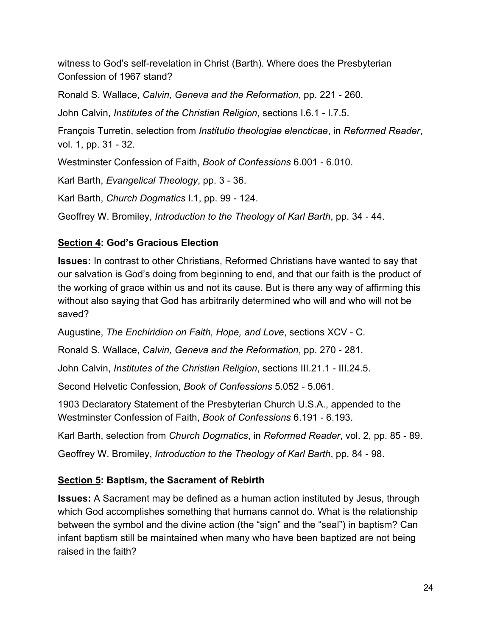witness to God's self-revelation in Christ (Barth). Where does the Presbyterian Confession of 1967 stand?

Ronald S. Wallace, *Calvin, Geneva and the Reformation*, pp. 221 - 260.

John Calvin, *Institutes of the Christian Religion*, sections I.6.1 - I.7.5.

François Turretin, selection from *Institutio theologiae elencticae*, in *Reformed Reader*, vol. 1, pp. 31 - 32.

Westminster Confession of Faith, *Book of Confessions* 6.001 - 6.010.

Karl Barth, *Evangelical Theology*, pp. 3 - 36.

Karl Barth, *Church Dogmatics* I.1, pp. 99 - 124.

Geoffrey W. Bromiley, *Introduction to the Theology of Karl Barth*, pp. 34 - 44.

#### **Section 4: God's Gracious Election**

**Issues:** In contrast to other Christians, Reformed Christians have wanted to say that our salvation is God's doing from beginning to end, and that our faith is the product of the working of grace within us and not its cause. But is there any way of affirming this without also saying that God has arbitrarily determined who will and who will not be saved?

Augustine, *The Enchiridion on Faith, Hope, and Love*, sections XCV - C.

Ronald S. Wallace, *Calvin, Geneva and the Reformation*, pp. 270 - 281.

John Calvin, *Institutes of the Christian Religion*, sections III.21.1 - III.24.5.

Second Helvetic Confession, *Book of Confessions* 5.052 - 5.061.

1903 Declaratory Statement of the Presbyterian Church U.S.A., appended to the Westminster Confession of Faith, *Book of Confessions* 6.191 - 6.193.

Karl Barth, selection from *Church Dogmatics*, in *Reformed Reader*, vol. 2, pp. 85 - 89.

Geoffrey W. Bromiley, *Introduction to the Theology of Karl Barth*, pp. 84 - 98.

#### **Section 5: Baptism, the Sacrament of Rebirth**

**Issues:** A Sacrament may be defined as a human action instituted by Jesus, through which God accomplishes something that humans cannot do. What is the relationship between the symbol and the divine action (the "sign" and the "seal") in baptism? Can infant baptism still be maintained when many who have been baptized are not being raised in the faith?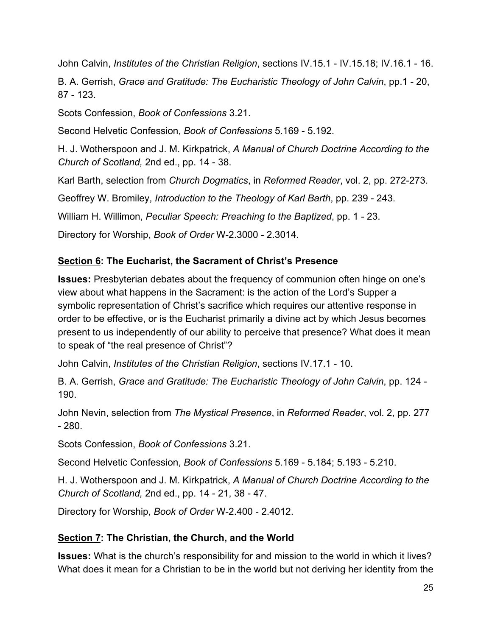John Calvin, *Institutes of the Christian Religion*, sections IV.15.1 - IV.15.18; IV.16.1 - 16.

B. A. Gerrish, *Grace and Gratitude: The Eucharistic Theology of John Calvin*, pp.1 - 20, 87 - 123.

Scots Confession, *Book of Confessions* 3.21.

Second Helvetic Confession, *Book of Confessions* 5.169 - 5.192.

H. J. Wotherspoon and J. M. Kirkpatrick, *A Manual of Church Doctrine According to the Church of Scotland,* 2nd ed., pp. 14 - 38.

Karl Barth, selection from *Church Dogmatics*, in *Reformed Reader*, vol. 2, pp. 272-273.

Geoffrey W. Bromiley, *Introduction to the Theology of Karl Barth*, pp. 239 - 243.

William H. Willimon, *Peculiar Speech: Preaching to the Baptized*, pp. 1 - 23.

Directory for Worship, *Book of Order* W-2.3000 - 2.3014.

#### **Section 6: The Eucharist, the Sacrament of Christ's Presence**

**Issues:** Presbyterian debates about the frequency of communion often hinge on one's view about what happens in the Sacrament: is the action of the Lord's Supper a symbolic representation of Christ's sacrifice which requires our attentive response in order to be effective, or is the Eucharist primarily a divine act by which Jesus becomes present to us independently of our ability to perceive that presence? What does it mean to speak of "the real presence of Christ"?

John Calvin, *Institutes of the Christian Religion*, sections IV.17.1 - 10.

B. A. Gerrish, *Grace and Gratitude: The Eucharistic Theology of John Calvin*, pp. 124 - 190.

John Nevin, selection from *The Mystical Presence*, in *Reformed Reader*, vol. 2, pp. 277  $-280.$ 

Scots Confession, *Book of Confessions* 3.21.

Second Helvetic Confession, *Book of Confessions* 5.169 - 5.184; 5.193 - 5.210.

H. J. Wotherspoon and J. M. Kirkpatrick, *A Manual of Church Doctrine According to the Church of Scotland,* 2nd ed., pp. 14 - 21, 38 - 47.

Directory for Worship, *Book of Order* W-2.400 - 2.4012.

#### **Section 7: The Christian, the Church, and the World**

**Issues:** What is the church's responsibility for and mission to the world in which it lives? What does it mean for a Christian to be in the world but not deriving her identity from the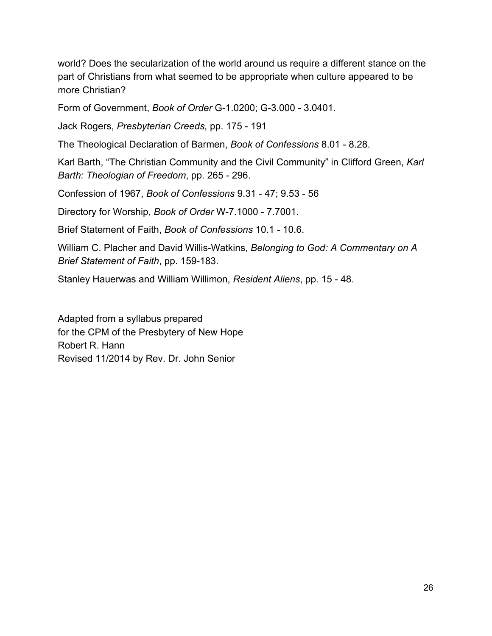world? Does the secularization of the world around us require a different stance on the part of Christians from what seemed to be appropriate when culture appeared to be more Christian?

Form of Government, *Book of Order* G-1.0200; G-3.000 - 3.0401.

Jack Rogers, *Presbyterian Creeds,* pp. 175 - 191

The Theological Declaration of Barmen, *Book of Confessions* 8.01 - 8.28.

Karl Barth, "The Christian Community and the Civil Community" in Clifford Green, *Karl Barth: Theologian of Freedom*, pp. 265 - 296.

Confession of 1967, *Book of Confessions* 9.31 - 47; 9.53 - 56

Directory for Worship, *Book of Order* W-7.1000 - 7.7001.

Brief Statement of Faith, *Book of Confessions* 10.1 - 10.6.

William C. Placher and David Willis-Watkins, *Belonging to God: A Commentary on A Brief Statement of Faith*, pp. 159-183.

Stanley Hauerwas and William Willimon, *Resident Aliens*, pp. 15 - 48.

Adapted from a syllabus prepared for the CPM of the Presbytery of New Hope Robert R. Hann Revised 11/2014 by Rev. Dr. John Senior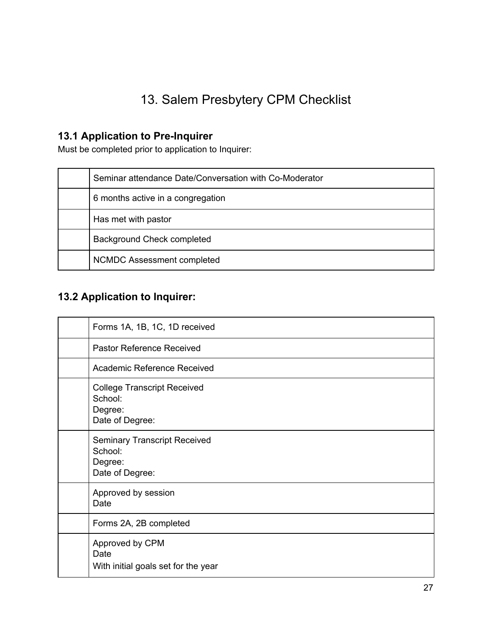# 13. Salem Presbytery CPM Checklist

# **13.1 Application to Pre-Inquirer**

Must be completed prior to application to Inquirer:

| Seminar attendance Date/Conversation with Co-Moderator |
|--------------------------------------------------------|
| 6 months active in a congregation                      |
| Has met with pastor                                    |
| Background Check completed                             |
| NCMDC Assessment completed                             |

# **13.2 Application to Inquirer:**

| Forms 1A, 1B, 1C, 1D received                                                |
|------------------------------------------------------------------------------|
| Pastor Reference Received                                                    |
| Academic Reference Received                                                  |
| <b>College Transcript Received</b><br>School:<br>Degree:<br>Date of Degree:  |
| <b>Seminary Transcript Received</b><br>School:<br>Degree:<br>Date of Degree: |
| Approved by session<br>Date                                                  |
| Forms 2A, 2B completed                                                       |
| Approved by CPM<br>Date<br>With initial goals set for the year               |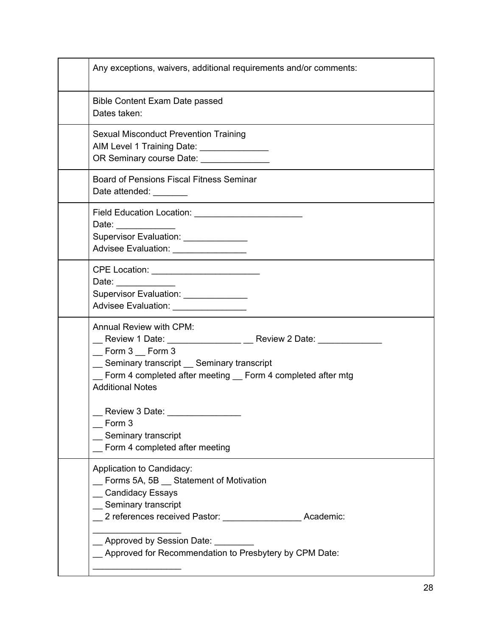| Any exceptions, waivers, additional requirements and/or comments:                                                                                                                                                                                                          |
|----------------------------------------------------------------------------------------------------------------------------------------------------------------------------------------------------------------------------------------------------------------------------|
| <b>Bible Content Exam Date passed</b><br>Dates taken:                                                                                                                                                                                                                      |
| Sexual Misconduct Prevention Training<br>AIM Level 1 Training Date: _______________<br>OR Seminary course Date: _______________                                                                                                                                            |
| <b>Board of Pensions Fiscal Fitness Seminar</b><br>Date attended: _______                                                                                                                                                                                                  |
| Date: ______________<br>Supervisor Evaluation: ______________<br>Advisee Evaluation: ________________                                                                                                                                                                      |
| CPE Location: __________________________<br>Date: _____________<br>Supervisor Evaluation: _____________<br>Advisee Evaluation: _______________                                                                                                                             |
| <b>Annual Review with CPM:</b><br>__ Review 1 Date: ________________ __ Review 2 Date: _____________<br>$\_$ Form 3 $\_$ Form 3<br>_ Seminary transcript _ Seminary transcript<br>_ Form 4 completed after meeting _ Form 4 completed after mtg<br><b>Additional Notes</b> |
| Review 3 Date: New York 1980<br>Form 3<br>Seminary transcript<br>Form 4 completed after meeting                                                                                                                                                                            |
| Application to Candidacy:<br>Forms 5A, 5B Statement of Motivation<br><b>Candidacy Essays</b><br>Seminary transcript<br>Academic:                                                                                                                                           |
| _Approved by Session Date:<br>_ Approved for Recommendation to Presbytery by CPM Date:                                                                                                                                                                                     |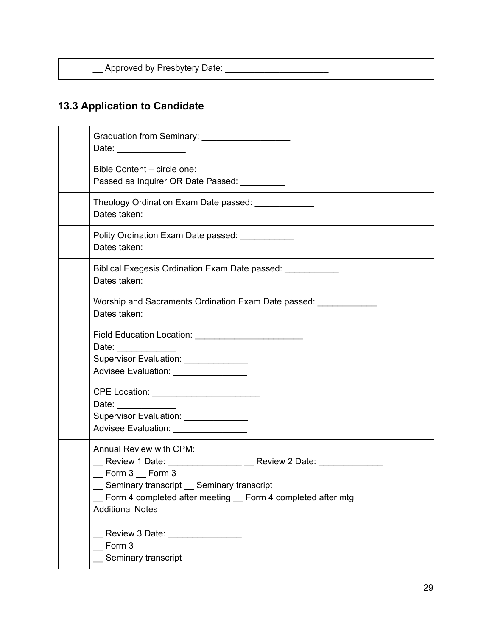| Approved by Presbytery Date: |  |  |
|------------------------------|--|--|
|                              |  |  |
|                              |  |  |

# **13.3 Application to Candidate**

| Graduation from Seminary: _____________________<br>Date: _________________                                                                                                                                                                                             |
|------------------------------------------------------------------------------------------------------------------------------------------------------------------------------------------------------------------------------------------------------------------------|
| Bible Content - circle one:<br>Passed as Inquirer OR Date Passed: __________                                                                                                                                                                                           |
| Theology Ordination Exam Date passed: _____________<br>Dates taken:                                                                                                                                                                                                    |
| Polity Ordination Exam Date passed: ____________<br>Dates taken:                                                                                                                                                                                                       |
| Biblical Exegesis Ordination Exam Date passed: ____________<br>Dates taken:                                                                                                                                                                                            |
| Worship and Sacraments Ordination Exam Date passed:<br>Dates taken:                                                                                                                                                                                                    |
| Date:<br>Supervisor Evaluation: ______________<br>Advisee Evaluation: _________________                                                                                                                                                                                |
| CPE Location: _________________________<br>Date: _____________<br>Supervisor Evaluation: ______________<br>Advisee Evaluation: ________________                                                                                                                        |
| <b>Annual Review with CPM:</b><br>__ Review 1 Date: ________________ __ Review 2 Date: _____________<br>$\_$ Form 3 $\_$ Form 3<br>Seminary transcript _ Seminary transcript<br>Form 4 completed after meeting _ Form 4 completed after mtg<br><b>Additional Notes</b> |
| Review 3 Date: 2000 March 2000<br>Form 3<br>Seminary transcript                                                                                                                                                                                                        |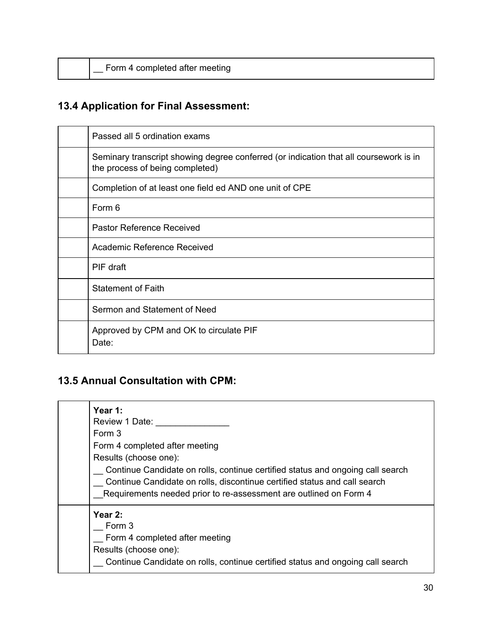|  |  |  | Form 4 completed after meeting |
|--|--|--|--------------------------------|
|  |  |  |                                |

# **13.4 Application for Final Assessment:**

| Passed all 5 ordination exams                                                                                            |
|--------------------------------------------------------------------------------------------------------------------------|
| Seminary transcript showing degree conferred (or indication that all coursework is in<br>the process of being completed) |
| Completion of at least one field ed AND one unit of CPE                                                                  |
| Form 6                                                                                                                   |
| Pastor Reference Received                                                                                                |
| Academic Reference Received                                                                                              |
| PIF draft                                                                                                                |
| <b>Statement of Faith</b>                                                                                                |
| Sermon and Statement of Need                                                                                             |
| Approved by CPM and OK to circulate PIF<br>Date:                                                                         |

### **13.5 Annual Consultation with CPM:**

| Year 1:<br>Review 1 Date:<br>Form 3<br>Form 4 completed after meeting<br>Results (choose one):<br>Continue Candidate on rolls, continue certified status and ongoing call search<br>Continue Candidate on rolls, discontinue certified status and call search<br>Requirements needed prior to re-assessment are outlined on Form 4 |
|------------------------------------------------------------------------------------------------------------------------------------------------------------------------------------------------------------------------------------------------------------------------------------------------------------------------------------|
| Year $2:$<br>Form 3<br>Form 4 completed after meeting<br>Results (choose one):<br>Continue Candidate on rolls, continue certified status and ongoing call search                                                                                                                                                                   |